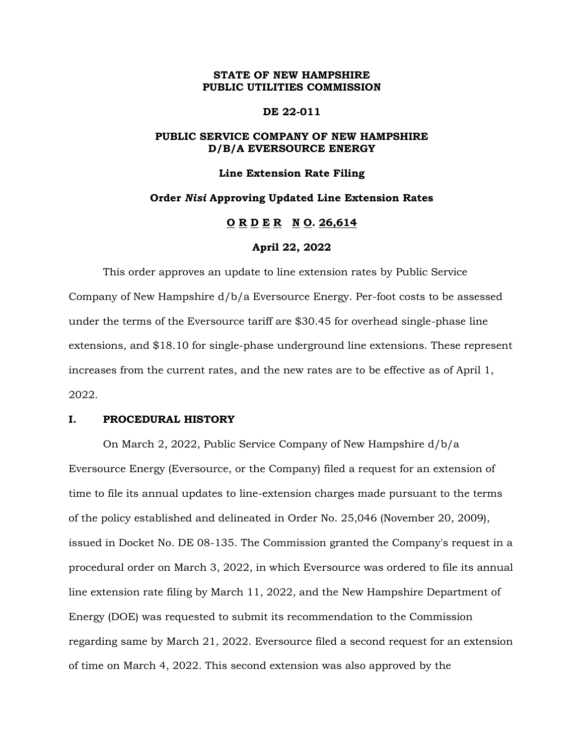# **STATE OF NEW HAMPSHIRE PUBLIC UTILITIES COMMISSION**

# **DE 22-011**

# **PUBLIC SERVICE COMPANY OF NEW HAMPSHIRE D/B/A EVERSOURCE ENERGY**

## **Line Extension Rate Filing**

## **Order** *Nisi* **Approving Updated Line Extension Rates**

# **O R D E R N O. 26,614**

## **April 22, 2022**

This order approves an update to line extension rates by Public Service Company of New Hampshire d/b/a Eversource Energy. Per-foot costs to be assessed under the terms of the Eversource tariff are \$30.45 for overhead single-phase line extensions, and \$18.10 for single-phase underground line extensions. These represent increases from the current rates, and the new rates are to be effective as of April 1, 2022.

# **I. PROCEDURAL HISTORY**

On March 2, 2022, Public Service Company of New Hampshire d/b/a Eversource Energy (Eversource, or the Company) filed a request for an extension of time to file its annual updates to line-extension charges made pursuant to the terms of the policy established and delineated in Order No. 25,046 (November 20, 2009), issued in Docket No. DE 08-135. The Commission granted the Company's request in a procedural order on March 3, 2022, in which Eversource was ordered to file its annual line extension rate filing by March 11, 2022, and the New Hampshire Department of Energy (DOE) was requested to submit its recommendation to the Commission regarding same by March 21, 2022. Eversource filed a second request for an extension of time on March 4, 2022. This second extension was also approved by the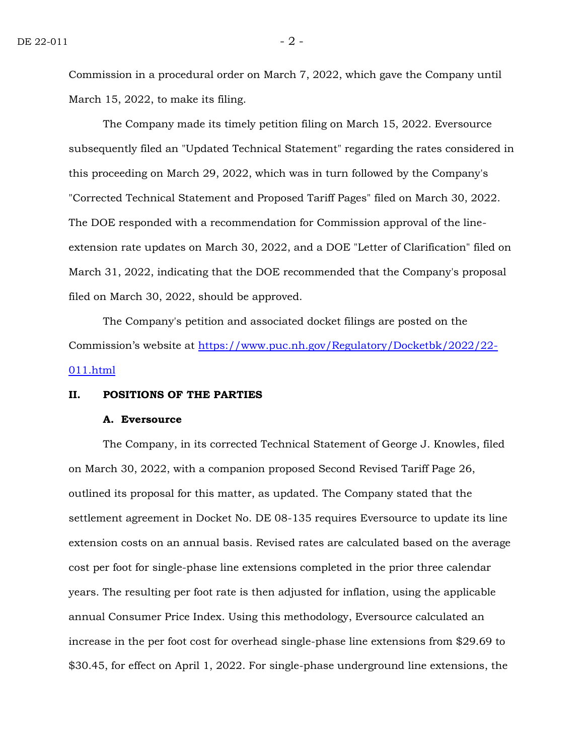Commission in a procedural order on March 7, 2022, which gave the Company until March 15, 2022, to make its filing.

The Company made its timely petition filing on March 15, 2022. Eversource subsequently filed an "Updated Technical Statement" regarding the rates considered in this proceeding on March 29, 2022, which was in turn followed by the Company's "Corrected Technical Statement and Proposed Tariff Pages" filed on March 30, 2022. The DOE responded with a recommendation for Commission approval of the lineextension rate updates on March 30, 2022, and a DOE "Letter of Clarification" filed on March 31, 2022, indicating that the DOE recommended that the Company's proposal filed on March 30, 2022, should be approved.

The Company's petition and associated docket filings are posted on the Commission's website at [https://www.puc.nh.gov/Regulatory/Docketbk/2022/22-](https://www.puc.nh.gov/Regulatory/Docketbk/2022/22-011.html) [011.html](https://www.puc.nh.gov/Regulatory/Docketbk/2022/22-011.html)

# **II. POSITIONS OF THE PARTIES**

#### **A. Eversource**

The Company, in its corrected Technical Statement of George J. Knowles, filed on March 30, 2022, with a companion proposed Second Revised Tariff Page 26, outlined its proposal for this matter, as updated. The Company stated that the settlement agreement in Docket No. DE 08-135 requires Eversource to update its line extension costs on an annual basis. Revised rates are calculated based on the average cost per foot for single-phase line extensions completed in the prior three calendar years. The resulting per foot rate is then adjusted for inflation, using the applicable annual Consumer Price Index. Using this methodology, Eversource calculated an increase in the per foot cost for overhead single-phase line extensions from \$29.69 to \$30.45, for effect on April 1, 2022. For single-phase underground line extensions, the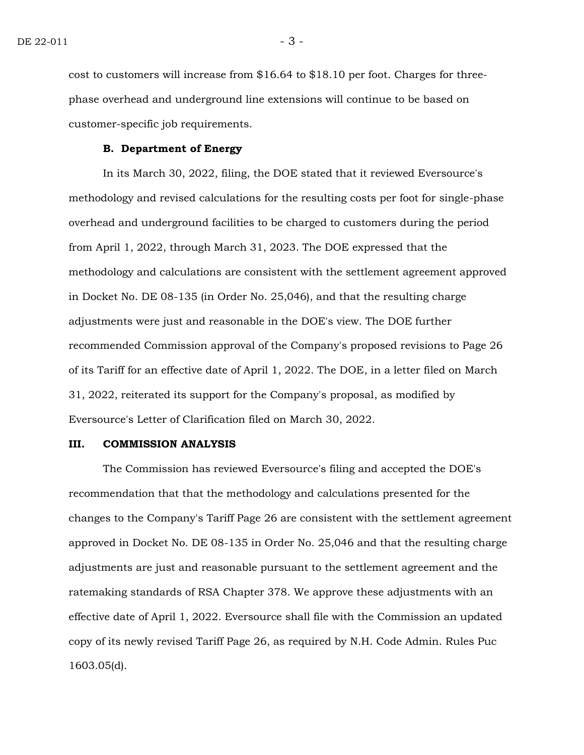cost to customers will increase from \$16.64 to \$18.10 per foot. Charges for threephase overhead and underground line extensions will continue to be based on customer-specific job requirements.

## **B. Department of Energy**

In its March 30, 2022, filing, the DOE stated that it reviewed Eversource's methodology and revised calculations for the resulting costs per foot for single-phase overhead and underground facilities to be charged to customers during the period from April 1, 2022, through March 31, 2023. The DOE expressed that the methodology and calculations are consistent with the settlement agreement approved in Docket No. DE 08-135 (in Order No. 25,046), and that the resulting charge adjustments were just and reasonable in the DOE's view. The DOE further recommended Commission approval of the Company's proposed revisions to Page 26 of its Tariff for an effective date of April 1, 2022. The DOE, in a letter filed on March 31, 2022, reiterated its support for the Company's proposal, as modified by Eversource's Letter of Clarification filed on March 30, 2022.

# **III. COMMISSION ANALYSIS**

The Commission has reviewed Eversource's filing and accepted the DOE's recommendation that that the methodology and calculations presented for the changes to the Company's Tariff Page 26 are consistent with the settlement agreement approved in Docket No. DE 08-135 in Order No. 25,046 and that the resulting charge adjustments are just and reasonable pursuant to the settlement agreement and the ratemaking standards of RSA Chapter 378. We approve these adjustments with an effective date of April 1, 2022. Eversource shall file with the Commission an updated copy of its newly revised Tariff Page 26, as required by N.H. Code Admin. Rules Puc 1603.05(d).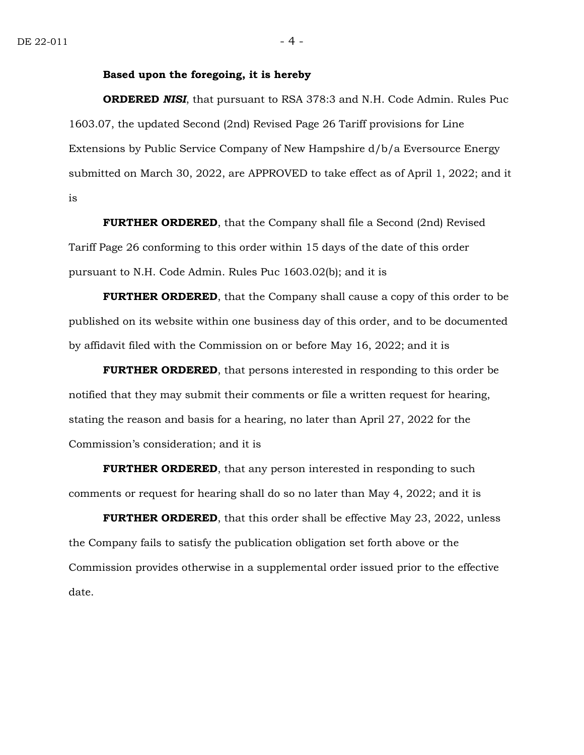## **Based upon the foregoing, it is hereby**

**ORDERED** *NISI*, that pursuant to RSA 378:3 and N.H. Code Admin. Rules Puc 1603.07, the updated Second (2nd) Revised Page 26 Tariff provisions for Line Extensions by Public Service Company of New Hampshire d/b/a Eversource Energy submitted on March 30, 2022, are APPROVED to take effect as of April 1, 2022; and it is

**FURTHER ORDERED**, that the Company shall file a Second (2nd) Revised Tariff Page 26 conforming to this order within 15 days of the date of this order pursuant to N.H. Code Admin. Rules Puc 1603.02(b); and it is

**FURTHER ORDERED**, that the Company shall cause a copy of this order to be published on its website within one business day of this order, and to be documented by affidavit filed with the Commission on or before May 16, 2022; and it is

**FURTHER ORDERED**, that persons interested in responding to this order be notified that they may submit their comments or file a written request for hearing, stating the reason and basis for a hearing, no later than April 27, 2022 for the Commission's consideration; and it is

**FURTHER ORDERED**, that any person interested in responding to such comments or request for hearing shall do so no later than May 4, 2022; and it is

**FURTHER ORDERED**, that this order shall be effective May 23, 2022, unless the Company fails to satisfy the publication obligation set forth above or the Commission provides otherwise in a supplemental order issued prior to the effective date.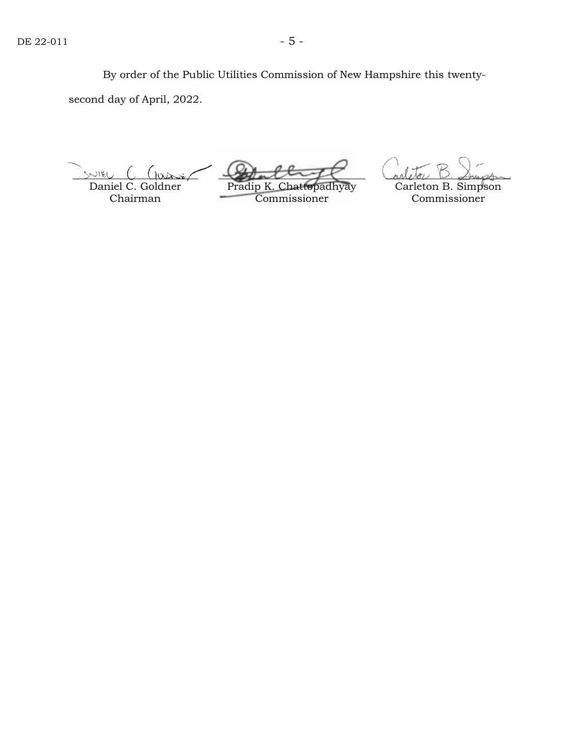By order of the Public Utilities Commission of New Hampshire this twentysecond day of April, 2022.

SNIEL

Daniel C. Goldner Chairman

Pradip K. Chattopadhyay Commissioner

Carleton B. Simpson Commissioner